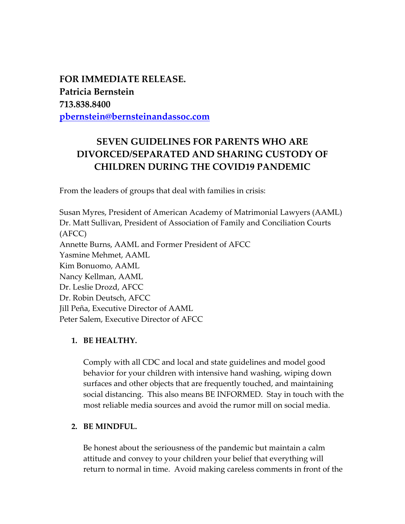**FOR IMMEDIATE RELEASE. Patricia Bernstein 713.838.8400 [pbernstein@bernsteinandassoc.com](mailto:pbernstein@bernsteinandassoc.com)**

# **SEVEN GUIDELINES FOR PARENTS WHO ARE DIVORCED/SEPARATED AND SHARING CUSTODY OF CHILDREN DURING THE COVID19 PANDEMIC**

From the leaders of groups that deal with families in crisis:

Susan Myres, President of American Academy of Matrimonial Lawyers (AAML) Dr. Matt Sullivan, President of Association of Family and Conciliation Courts (AFCC) Annette Burns, AAML and Former President of AFCC Yasmine Mehmet, AAML Kim Bonuomo, AAML Nancy Kellman, AAML Dr. Leslie Drozd, AFCC Dr. Robin Deutsch, AFCC Jill Peña, Executive Director of AAML Peter Salem, Executive Director of AFCC

## **1. BE HEALTHY.**

Comply with all CDC and local and state guidelines and model good behavior for your children with intensive hand washing, wiping down surfaces and other objects that are frequently touched, and maintaining social distancing. This also means BE INFORMED. Stay in touch with the most reliable media sources and avoid the rumor mill on social media.

# **2. BE MINDFUL.**

Be honest about the seriousness of the pandemic but maintain a calm attitude and convey to your children your belief that everything will return to normal in time. Avoid making careless comments in front of the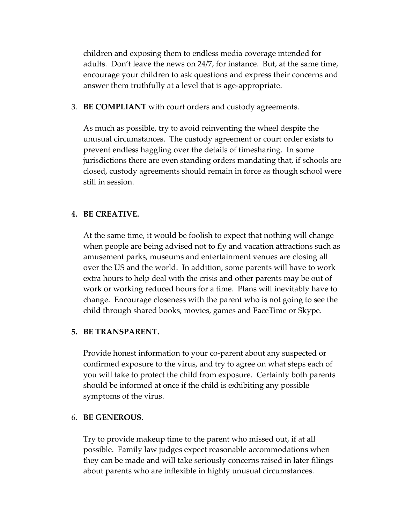children and exposing them to endless media coverage intended for adults. Don't leave the news on 24/7, for instance. But, at the same time, encourage your children to ask questions and express their concerns and answer them truthfully at a level that is age-appropriate.

3. **BE COMPLIANT** with court orders and custody agreements.

As much as possible, try to avoid reinventing the wheel despite the unusual circumstances. The custody agreement or court order exists to prevent endless haggling over the details of timesharing. In some jurisdictions there are even standing orders mandating that, if schools are closed, custody agreements should remain in force as though school were still in session.

# **4. BE CREATIVE.**

At the same time, it would be foolish to expect that nothing will change when people are being advised not to fly and vacation attractions such as amusement parks, museums and entertainment venues are closing all over the US and the world. In addition, some parents will have to work extra hours to help deal with the crisis and other parents may be out of work or working reduced hours for a time. Plans will inevitably have to change. Encourage closeness with the parent who is not going to see the child through shared books, movies, games and FaceTime or Skype.

## **5. BE TRANSPARENT.**

Provide honest information to your co-parent about any suspected or confirmed exposure to the virus, and try to agree on what steps each of you will take to protect the child from exposure. Certainly both parents should be informed at once if the child is exhibiting any possible symptoms of the virus.

## 6. **BE GENEROUS**.

Try to provide makeup time to the parent who missed out, if at all possible. Family law judges expect reasonable accommodations when they can be made and will take seriously concerns raised in later filings about parents who are inflexible in highly unusual circumstances.